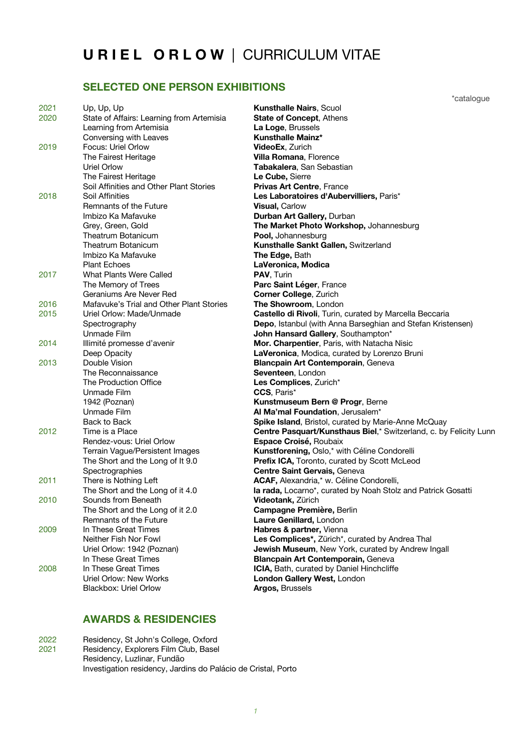#### **U R I E L O R L O W** | CURRICULUM VITAE

# **SELECTED ONE PERSON EXHIBITIONS SELECTED ONE PERSON EXHIBITIONS**

| 2021 | Up, Up, Up                                | <b>Kunsthalle Nairs, Scuol</b>                                    |
|------|-------------------------------------------|-------------------------------------------------------------------|
| 2020 | State of Affairs: Learning from Artemisia | <b>State of Concept, Athens</b>                                   |
|      | Learning from Artemisia                   | La Loge, Brussels                                                 |
|      | Conversing with Leaves                    | <b>Kunsthalle Mainz*</b>                                          |
| 2019 | Focus: Uriel Orlow                        | VideoEx, Zurich                                                   |
|      | The Fairest Heritage                      | Villa Romana, Florence                                            |
|      | <b>Uriel Orlow</b>                        | Tabakalera, San Sebastian                                         |
|      | The Fairest Heritage                      | Le Cube, Sierre                                                   |
|      | Soil Affinities and Other Plant Stories   | Privas Art Centre, France                                         |
| 2018 | Soil Affinities                           | Les Laboratoires d'Aubervilliers, Paris*                          |
|      | Remnants of the Future                    | <b>Visual, Carlow</b>                                             |
|      | Imbizo Ka Mafavuke                        | Durban Art Gallery, Durban                                        |
|      | Grey, Green, Gold                         | The Market Photo Workshop, Johannesburg                           |
|      | Theatrum Botanicum                        | Pool, Johannesburg                                                |
|      | Theatrum Botanicum                        | Kunsthalle Sankt Gallen, Switzerland                              |
|      | Imbizo Ka Mafavuke                        | The Edge, Bath                                                    |
|      | <b>Plant Echoes</b>                       | LaVeronica, Modica                                                |
| 2017 | What Plants Were Called                   | PAV, Turin                                                        |
|      | The Memory of Trees                       | Parc Saint Léger, France                                          |
|      | Geraniums Are Never Red                   | <b>Corner College, Zurich</b>                                     |
| 2016 | Mafavuke's Trial and Other Plant Stories  | The Showroom, London                                              |
| 2015 | Uriel Orlow: Made/Unmade                  | Castello di Rivoli, Turin, curated by Marcella Beccaria           |
|      | Spectrography                             | Depo, Istanbul (with Anna Barseghian and Stefan Kristensen)       |
|      | Unmade Film                               | John Hansard Gallery, Southampton*                                |
| 2014 | Illimité promesse d'avenir                | Mor. Charpentier, Paris, with Natacha Nisic                       |
|      | Deep Opacity                              | LaVeronica, Modica, curated by Lorenzo Bruni                      |
| 2013 | Double Vision                             | Blancpain Art Contemporain, Geneva                                |
|      | The Reconnaissance                        | Seventeen, London                                                 |
|      | The Production Office                     | Les Complices, Zurich*                                            |
|      | Unmade Film                               | CCS, Paris*                                                       |
|      | 1942 (Poznan)                             | Kunstmuseum Bern @ Progr, Berne                                   |
|      | Unmade Film                               | Al Ma'mal Foundation, Jerusalem*                                  |
|      | Back to Back                              | Spike Island, Bristol, curated by Marie-Anne McQuay               |
| 2012 | Time is a Place                           | Centre Pasquart/Kunsthaus Biel,* Switzerland, c. by Felicity Lunn |
|      | Rendez-vous: Uriel Orlow                  | Espace Croisé, Roubaix                                            |
|      | Terrain Vague/Persistent Images           | Kunstforening, Oslo,* with Céline Condorelli                      |
|      | The Short and the Long of It 9.0          | Prefix ICA, Toronto, curated by Scott McLeod                      |
|      | Spectrographies                           | Centre Saint Gervais, Geneva                                      |
| 2011 | There is Nothing Left                     | ACAF, Alexandria,* w. Céline Condorelli,                          |
|      | The Short and the Long of it 4.0          | la rada, Locarno*, curated by Noah Stolz and Patrick Gosatti      |
| 2010 | Sounds from Beneath                       | <b>Videotank, Zürich</b>                                          |
|      | The Short and the Long of it 2.0          | Campagne Première, Berlin                                         |
|      | Remnants of the Future                    | Laure Genillard, London                                           |
| 2009 | In These Great Times                      | Habres & partner, Vienna                                          |
|      | Neither Fish Nor Fowl                     | Les Complices*, Zürich*, curated by Andrea Thal                   |
|      | Uriel Orlow: 1942 (Poznan)                | Jewish Museum, New York, curated by Andrew Ingall                 |
|      | In These Great Times                      | Blancpain Art Contemporain, Geneva                                |
| 2008 | In These Great Times                      | ICIA, Bath, curated by Daniel Hinchcliffe                         |
|      | Uriel Orlow: New Works                    | London Gallery West, London                                       |
|      | Blackbox: Uriel Orlow                     | Argos, Brussels                                                   |

#### **AWARDS & RESIDENCIES**

2022 Residency, St John's College, Oxford<br>2021 Residency, Explorers Film Club, Base Residency, Explorers Film Club, Basel Residency, Luzlinar, Fundão Investigation residency, Jardins do Palácio de Cristal, Porto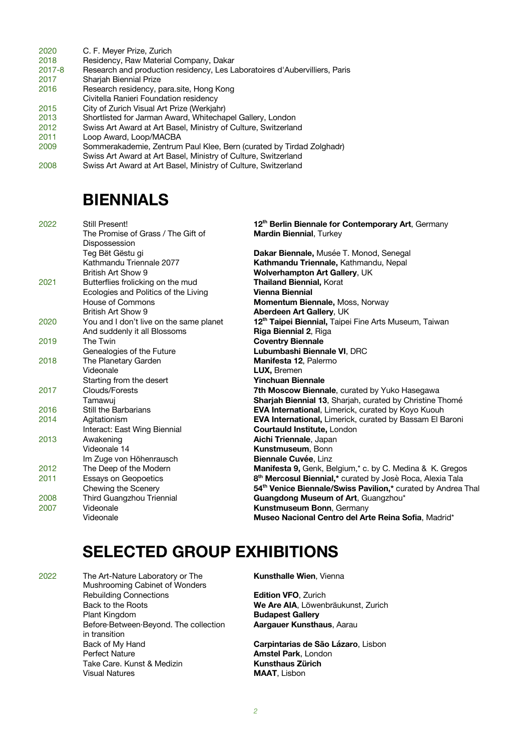- 2020 C. F. Meyer Prize, Zurich
- 2018 Residency, Raw Material Company, Dakar
- 2017-8 Research and production residency, Les Laboratoires d'Aubervilliers, Paris
- 2017 Sharjah Biennial Prize
- Research residency, para.site, Hong Kong
- Civitella Ranieri Foundation residency
- 2015 City of Zurich Visual Art Prize (Werkjahr)
- 2013 Shortlisted for Jarman Award, Whitechapel Gallery, London
- 2012 Swiss Art Award at Art Basel, Ministry of Culture, Switzerland
- 2011 Loop Award, Loop/MACBA<br>2009 Sommerakademie. Zentrum
- Sommerakademie, Zentrum Paul Klee, Bern (curated by Tirdad Zolghadr)
- Swiss Art Award at Art Basel, Ministry of Culture, Switzerland
- 2008 Swiss Art Award at Art Basel, Ministry of Culture, Switzerland

#### **BIENNIALS**

| 2022 | Still Present!                          | 12 <sup>th</sup> Berlin Biennale for Contemporary Art, Germany          |
|------|-----------------------------------------|-------------------------------------------------------------------------|
|      | The Promise of Grass / The Gift of      | <b>Mardin Biennial, Turkey</b>                                          |
|      | Dispossession                           |                                                                         |
|      | Teg Bët Gëstu gi                        | Dakar Biennale, Musée T. Monod, Senegal                                 |
|      | Kathmandu Triennale 2077                | Kathmandu Triennale, Kathmandu, Nepal                                   |
|      | British Art Show 9                      | Wolverhampton Art Gallery, UK                                           |
| 2021 | Butterflies frolicking on the mud       | <b>Thailand Biennial, Korat</b>                                         |
|      | Ecologies and Politics of the Living    | <b>Vienna Biennial</b>                                                  |
|      | House of Commons                        | Momentum Biennale, Moss, Norway                                         |
|      | British Art Show 9                      | Aberdeen Art Gallery, UK                                                |
| 2020 | You and I don't live on the same planet | 12 <sup>th</sup> Taipei Biennial, Taipei Fine Arts Museum, Taiwan       |
|      | And suddenly it all Blossoms            | Riga Biennial 2, Riga                                                   |
| 2019 | The Twin                                | <b>Coventry Biennale</b>                                                |
|      | Genealogies of the Future               | Lubumbashi Biennale VI, DRC                                             |
| 2018 | The Planetary Garden                    | Manifesta 12, Palermo                                                   |
|      | Videonale                               | LUX, Bremen                                                             |
|      | Starting from the desert                | <b>Yinchuan Biennale</b>                                                |
| 2017 | Clouds/Forests                          | 7th Moscow Biennale, curated by Yuko Hasegawa                           |
|      | Tamawuj                                 | <b>Sharjah Biennial 13, Sharjah, curated by Christine Thomé</b>         |
| 2016 | Still the Barbarians                    | EVA International, Limerick, curated by Koyo Kuouh                      |
| 2014 | Agitationism                            | EVA International, Limerick, curated by Bassam El Baroni                |
|      | Interact: East Wing Biennial            | <b>Courtauld Institute, London</b>                                      |
| 2013 | Awakening                               | Aichi Triennale, Japan                                                  |
|      | Videonale 14                            | Kunstmuseum, Bonn                                                       |
|      | Im Zuge von Höhenrausch                 | Biennale Cuvée, Linz                                                    |
| 2012 | The Deep of the Modern                  | Manifesta 9, Genk, Belgium,* c. by C. Medina & K. Gregos                |
| 2011 | Essays on Geopoetics                    | 8 <sup>th</sup> Mercosul Biennial,* curated by Josè Roca, Alexia Tala   |
|      | Chewing the Scenery                     | 54 <sup>th</sup> Venice Biennale/Swiss Pavilion,* curated by Andrea Tha |
| 2008 | Third Guangzhou Triennial               | Guangdong Museum of Art, Guangzhou*                                     |
| 2007 | Videonale                               | <b>Kunstmuseum Bonn, Germany</b>                                        |
|      | Videonale                               | Museo Nacional Centro del Arte Reina Sofia, Madrid*                     |
|      |                                         |                                                                         |

### **SELECTED GROUP EXHIBITIONS**

2022 The Art-Nature Laboratory or The **Kunsthalle Wien**, Vienna Mushrooming Cabinet of Wonders Rebuilding Connections **Edition VFO**, Zurich Plant Kingdom **Budapest Gallery** Before·Between·Beyond. The collection **Aargauer Kunsthaus**, Aarau in transition Back of My Hand **Carpintarias de São Lázaro**, Lisbon Perfect Nature **Amstel Park**, London Take Care. Kunst & Medizin **Kunsthaus Zürich** Visual Natures **MAAT**, Lisbon

Back to the Roots **We Are AIA**, Löwenbräukunst, Zurich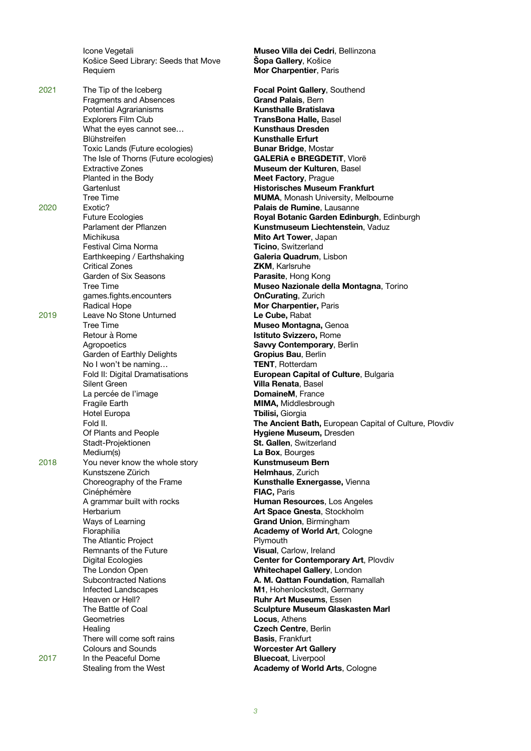Košice Seed Library: Seeds that Move **Šopa Gallery**, Košice Requiem **Mor Charpentier**, Paris

2021 The Tip of the Iceberg **Focal Point Gallery**, Southend Fragments and Absences **Grand Palais**, Bern Potential Agrarianisms **Kunsthalle Bratislava** Explorers Film Club **TransBona Halle,** Basel What the eyes cannot see... Blühstreifen **Kunsthalle Erfurt** Toxic Lands (Future ecologies) **Bunar Bridge**, Mostar The Isle of Thorns (Future ecologies) **GALERiA e BREGDETiT**, Vlorë Extractive Zones **Museum der Kulturen**, Basel Planted in the Body **Meet Factory**, Prague Gartenlust **Historisches Museum Frankfurt** 2020 Exotic? **Palais de Rumine**, Lausanne Michikusa **Mito Art Tower**, Japan Festival Cima Norma **Ticino**, Switzerland Earthkeeping / Earthshaking **Galeria Quadrum**, Lisbon Critical Zones **ZKM**, Karlsruhe Garden of Six Seasons **Parasite**, Hong Kong games.fights.encounters **OnCurating**, Zurich Radical Hope **Mor Charpentier,** Paris 2019 Leave No Stone Unturned **Le Cube,** Rabat Tree Time **Museo Montagna,** Genoa Retour à Rome **Istituto Svizzero,** Rome Agropoetics **Savvy Contemporary**, Berlin Garden of Earthly Delights **Gropius Bau**, Berlin No I won't be naming... **TENT**, Rotterdam Silent Green **Villa Renata**, Basel La percée de l'image **DomaineM**, France Fragile Earth **MIMA, Middlesbrough** Hotel Europa **Tbilisi,** Giorgia Of Plants and People **Hygiene Museum,** Dresden Stadt-Projektionen **St. Gallen**, Switzerland Medium(s) **La Box**, Bourges 2018 You never know the whole story **Kunstmuseum Bern** Kunstszene Zürich **Helmhaus**, Zurich Choreography of the Frame **Kunsthalle Exnergasse,** Vienna Cinéphémère **FIAC,** Paris A grammar built with rocks **Human Resources**, Los Angeles Herbarium **Art Space Gnesta**, Stockholm Ways of Learning **Grand Union**, Birmingham Floraphilia **Academy of World Art**, Cologne The Atlantic Project **Plymouth** Remnants of the Future **Visual**, Carlow, Ireland The London Open **Whitechapel Gallery**, London Infected Landscapes **M1**, Hohenlockstedt, Germany Heaven or Hell? **Ruhr Art Museums**, Essen Geometries **Locus**, Athens Healing **Czech Centre**, Berlin There will come soft rains **Basis**, Frankfurt Colours and Sounds **Worcester Art Gallery** 2017 In the Peaceful Dome **Bluecoat**, Liverpool

Icone Vegetali **Museo Villa dei Cedri**, Bellinzona Tree Time **MUMA**, Monash University, Melbourne Future Ecologies **Royal Botanic Garden Edinburgh**, Edinburgh Parlament der Pflanzen **Kunstmuseum Liechtenstein**, Vaduz Tree Time **Museo Nazionale della Montagna**, Torino Fold II: Digital Dramatisations **European Capital of Culture**, Bulgaria Fold II. **The Ancient Bath,** European Capital of Culture, Plovdiv Digital Ecologies **Center for Contemporary Art**, Plovdiv Subcontracted Nations **A. M. Qattan Foundation**, Ramallah The Battle of Coal **Sculpture Museum Glaskasten Marl** Stealing from the West **Academy of World Arts**, Cologne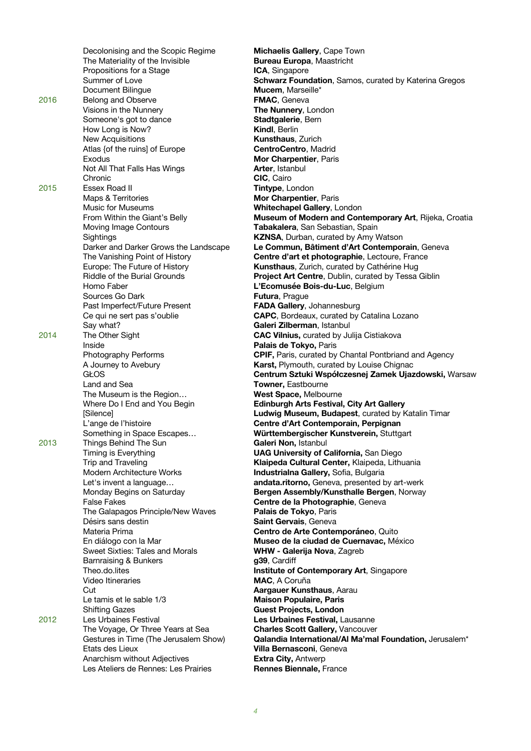|      | Decolonising and the Scopic Regime         | Michaelis Gallery, Cape T                                |
|------|--------------------------------------------|----------------------------------------------------------|
|      | The Materiality of the Invisible           | <b>Bureau Europa, Maastrich</b>                          |
|      | Propositions for a Stage                   | ICA, Singapore                                           |
|      | Summer of Love                             | <b>Schwarz Foundation, Sar</b>                           |
|      | Document Bilingue                          | Mucem, Marseille*                                        |
| 2016 | Belong and Observe                         | FMAC, Geneva                                             |
|      | Visions in the Nunnery                     | The Nunnery, London                                      |
|      | Someone's got to dance                     | Stadtgalerie, Bern                                       |
|      | How Long is Now?                           | Kindl, Berlin                                            |
|      | <b>New Acquisitions</b>                    | <b>Kunsthaus, Zurich</b>                                 |
|      | Atlas {of the ruins] of Europe             | CentroCentro, Madrid                                     |
|      | Exodus                                     | Mor Charpentier, Paris                                   |
|      | Not All That Falls Has Wings               | Arter, Istanbul                                          |
|      | Chronic                                    | CIC, Cairo                                               |
| 2015 | Essex Road II                              | Tintype, London                                          |
|      | Maps & Territories<br>Music for Museums    | Mor Charpentier, Paris<br>Whitechapel Gallery, Lon       |
|      | From Within the Giant's Belly              | Museum of Modern and                                     |
|      | Moving Image Contours                      | Tabakalera, San Sebastia                                 |
|      | Sightings                                  | <b>KZNSA, Durban, curated b</b>                          |
|      | Darker and Darker Grows the Landscape      | Le Commun, Bâtiment d'                                   |
|      | The Vanishing Point of History             | Centre d'art et photograp                                |
|      | Europe: The Future of History              | Kunsthaus, Zurich, curate                                |
|      | Riddle of the Burial Grounds               | <b>Project Art Centre, Dublir</b>                        |
|      | Homo Faber                                 | L'Ecomusée Bois-du-Luo                                   |
|      | Sources Go Dark                            | Futura, Prague                                           |
|      | Past Imperfect/Future Present              | FADA Gallery, Johannesb                                  |
|      | Ce qui ne sert pas s'oublie                | <b>CAPC, Bordeaux, curated</b>                           |
|      | Say what?                                  | Galeri Zilberman, Istanbu                                |
| 2014 | The Other Sight                            | <b>CAC Vilnius, curated by J</b>                         |
|      | Inside                                     | Palais de Tokyo, Paris                                   |
|      | Photography Performs                       | <b>CPIF, Paris, curated by Ch</b>                        |
|      | A Journey to Avebury                       | Karst, Plymouth, curated I                               |
|      | <b>GŁOS</b>                                | Centrum Sztuki Współcz                                   |
|      | Land and Sea                               | Towner, Eastbourne                                       |
|      | The Museum is the Region                   | West Space, Melbourne                                    |
|      | Where Do I End and You Begin               | Edinburgh Arts Festival,                                 |
|      | [Silence]                                  | Ludwig Museum, Budape                                    |
|      | L'ange de l'histoire                       | <b>Centre d'Art Contempora</b>                           |
|      | Something in Space Escapes                 | Württembergischer Kuns                                   |
| 2013 | Things Behind The Sun                      | Galeri Non, Istanbul<br><b>UAG University of Califor</b> |
|      | Timing is Everything<br>Trip and Traveling | <b>Klaipeda Cultural Center</b>                          |
|      | Modern Architecture Works                  | Industrialna Gallery, Sofia                              |
|      | Let's invent a language                    | andata.ritorno, Geneva, p                                |
|      | Monday Begins on Saturday                  | <b>Bergen Assembly/Kunstl</b>                            |
|      | <b>False Fakes</b>                         | Centre de la Photographi                                 |
|      | The Galapagos Principle/New Waves          | Palais de Tokyo, Paris                                   |
|      | Désirs sans destin                         | Saint Gervais, Geneva                                    |
|      | Materia Prima                              | Centro de Arte Contemp                                   |
|      | En diálogo con la Mar                      | Museo de la ciudad de C                                  |
|      | Sweet Sixties: Tales and Morals            | WHW - Galerija Nova, Za                                  |
|      | Barnraising & Bunkers                      | g39, Cardiff                                             |
|      | Theo.do.lites                              | <b>Institute of Contemporar</b>                          |
|      | Video Itineraries                          | MAC, A Coruña                                            |
|      | Cut                                        | Aargauer Kunsthaus, Aar                                  |
|      | Le tamis et le sable 1/3                   | <b>Maison Populaire, Paris</b>                           |
|      | <b>Shifting Gazes</b>                      | <b>Guest Projects, London</b>                            |
| 2012 | Les Urbaines Festival                      | Les Urbaines Festival, La                                |
|      | The Voyage, Or Three Years at Sea          | Charles Scott Gallery, Va                                |
|      | Gestures in Time (The Jerusalem Show)      | <b>Qalandia International/Al</b>                         |
|      | Etats des Lieux                            | Villa Bernasconi, Geneva                                 |
|      | Anarchism without Adjectives               | <b>Extra City, Antwerp</b>                               |
|      | Les Ateliers de Rennes: Les Prairies       | <b>Rennes Biennale, France</b>                           |

**Michaelis Gallery**, Cape Town **Bureau Europa, Maastricht ICA**, Singapore Schwarz Foundation, Samos, curated by Katerina Gregos **Mucem**, Marseille\* **FMAC**, Geneva **The Nunnery, London** Stadtgalerie, Bern **Kindl**, Berlin **Kunsthaus**, Zurich **CentroCentro, Madrid Mor Charpentier, Paris** Arter, Istanbul **CIC**, Cairo **Tintype, London Mor Charpentier, Paris Whitechapel Gallery, London Museum of Modern and Contemporary Art**, Rijeka, Croatia Tabakalera, San Sebastian, Spain KZNSA, Durban, curated by Amy Watson Le Commun, Bâtiment d'Art Contemporain, Geneva Centre d'art et photographie, Lectoure, France Kunsthaus, Zurich, curated by Cathérine Hug Project Art Centre, Dublin, curated by Tessa Giblin L'Ecomusée Bois-du-Luc, Belgium **Futura, Prague** FADA Gallery, Johannesburg **CAPC**, Bordeaux, curated by Catalina Lozano Galeri Zilberman, Istanbul **CAC Vilnius, curated by Julija Cistiakova** Palais de Tokyo, Paris CPIF, Paris, curated by Chantal Pontbriand and Agency Karst, Plymouth, curated by Louise Chignac **Centrum Sztuki Współczesnej Zamek Ujazdowski, Warsaw Towner, Eastbourne West Space, Melbourne Edinburgh Arts Festival, City Art Gallery** Ludwig Museum, Budapest, curated by Katalin Timar Centre d'Art Contemporain, Perpignan Württembergischer Kunstverein, Stuttgart Galeri Non, Istanbul **UAG University of California, San Diego** Klaipeda Cultural Center, Klaipeda, Lithuania **Industrialna Gallery, Sofia, Bulgaria** andata.ritorno, Geneva, presented by art-werk Bergen Assembly/Kunsthalle Bergen, Norway Centre de la Photographie, Geneva Palais de Tokyo, Paris **Saint Gervais**, Geneva Centro de Arte Contemporáneo, Quito **Museo de la ciudad de Cuernavac, México** WHW - Galerija Nova, Zagreb g39, Cardiff **Institute of Contemporary Art**, Singapore **MAC, A Coruña Aargauer Kunsthaus, Aarau Maison Populaire, Paris Guest Projects, London** Les Urbaines Festival, Lausanne **Charles Scott Gallery, Vancouver Qalandia International/Al Ma'mal Foundation, Jerusalem\*** Villa Bernasconi, Geneva **Extra City, Antwerp**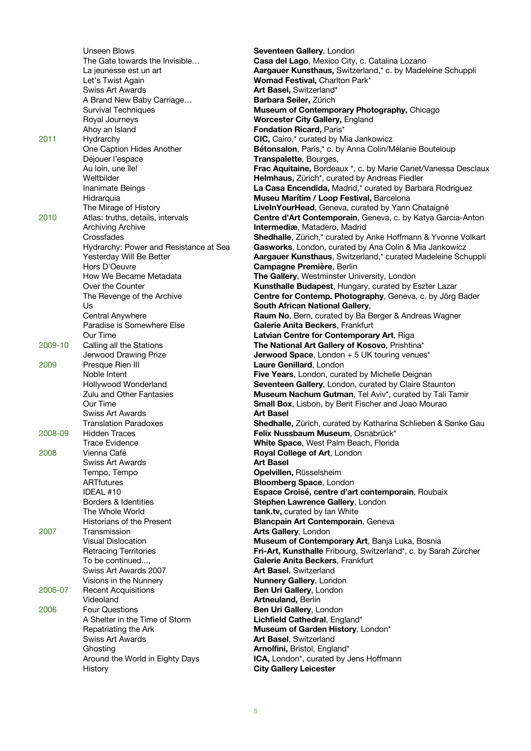|         | Unseen Blows                           | Seventee          |
|---------|----------------------------------------|-------------------|
|         | The Gate towards the Invisible         | Casa del          |
|         | La jeunesse est un art                 | Aargauer          |
|         | Let's Twist Again                      | <b>Womad F</b>    |
|         | <b>Swiss Art Awards</b>                | <b>Art Basel</b>  |
|         | A Brand New Baby Carriage              | <b>Barbara</b>    |
|         | Survival Techniques                    | <b>Museum</b>     |
|         | Royal Journeys                         | Worceste          |
|         |                                        |                   |
|         | Ahoy an Island                         | Fondatio          |
| 2011    | Hydrarchy                              | CIC, Cairo        |
|         | One Caption Hides Another              | <b>Bétonsal</b>   |
|         | Déjouer l'espace                       | <b>Transpak</b>   |
|         | Au Ioin, une île!                      | <b>Frac Aqu</b>   |
|         | Weltbilder                             | <b>Helmhau</b>    |
|         | Inanimate Beings                       | La Casa I         |
|         | Hidrarquia                             | <b>Museu M</b>    |
|         | The Mirage of History                  | LiveInYor         |
| 2010    |                                        | Centre d'         |
|         | Atlas: truths, details, intervals      |                   |
|         | <b>Archiving Archive</b>               | <b>Intermed</b>   |
|         | Crossfades                             | <b>Shedhall</b>   |
|         | Hydrarchy: Power and Resistance at Sea | Gaswork           |
|         | Yesterday Will Be Better               | Aargauer          |
|         | Hors D'Oeuvre                          | Campagr           |
|         | How We Became Metadata                 | <b>The Galle</b>  |
|         | Over the Counter                       | Kunsthal          |
|         | The Revenge of the Archive             | Centre fo         |
|         | Us                                     | South Afı         |
|         |                                        |                   |
|         | Central Anywhere                       | <b>Raum No</b>    |
|         | Paradise is Somewhere Else             | <b>Galerie A</b>  |
|         | Our Time                               | Latvian C         |
| 2009-10 | Calling all the Stations               | <b>The Natio</b>  |
|         | Jerwood Drawing Prize                  | <b>Jerwood</b>    |
| 2009    | Presque Rien III                       | <b>Laure Ge</b>   |
|         | Noble Intent                           | <b>Five Year</b>  |
|         | Hollywood Wonderland                   | Seventee          |
|         | Zulu and Other Fantasies               | Museum            |
|         | Our Time                               | <b>Small Bo</b>   |
|         | Swiss Art Awards                       | <b>Art Basel</b>  |
|         |                                        |                   |
|         | <b>Translation Paradoxes</b>           | <b>Shedhall</b>   |
| 2008-09 | <b>Hidden Traces</b>                   | <b>Felix Nus</b>  |
|         | Trace Evidence                         | <b>White Sp</b>   |
| 2008    | Vienna Café                            | <b>Royal Co</b>   |
|         | <b>Swiss Art Awards</b>                | <b>Art Basel</b>  |
|         | Tempo, Tempo                           | <b>Opelviller</b> |
|         | <b>ARTfutures</b>                      | <b>Bloombe</b>    |
|         | IDEAL #10                              | <b>Espace C</b>   |
|         | Borders & Identities                   | <b>Stephen</b>    |
|         | The Whole World                        | tank.tv, c        |
|         |                                        |                   |
|         | Historians of the Present              | <b>Blancpair</b>  |
| 2007    | Transmission                           | <b>Arts Galle</b> |
|         | <b>Visual Dislocation</b>              | Museum            |
|         | <b>Retracing Territories</b>           | Fri-Art, K        |
|         | To be continued                        | <b>Galerie A</b>  |
|         | Swiss Art Awards 2007                  | Art Basel         |
|         | Visions in the Nunnery                 | <b>Nunnery</b>    |
| 2006-07 | <b>Recent Acquisitions</b>             | Ben Uri C         |
|         | Videoland                              | Artneular         |
| 2006    | <b>Four Questions</b>                  | <b>Ben Uri G</b>  |
|         | A Shelter in the Time of Storm         |                   |
|         |                                        | Lichfield         |
|         | Repatriating the Ark                   | <b>Museum</b>     |
|         | <b>Swiss Art Awards</b>                | <b>Art Basel</b>  |
|         | Ghosting                               | Arnolfini,        |
|         | Around the World in Eighty Days        | ICA, Lond         |
|         | History                                | <b>City Galle</b> |

en Gallery, London **El Lago**, Mexico City, c. Catalina Lozano er Kunsthaus, Switzerland,\* c. by Madeleine Schuppli Festival, Charlton Park<sup>\*</sup> el, Switzerland\* Seiler, Zürich **n of Contemporary Photography, Chicago Read City Gallery, England ion Ricard, Paris\*** 2011 Hydrarchy **CIC,** Cairo,\* curated by Mia Jankowicz alon, Paris,\* c. by Anna Colin/Mélanie Bouteloup alette, Bourges, **uitaine, Bordeaux \*, c. by Marie Canet/Vanessa Desclaux** us, Zürich\*, curated by Andreas Fiedler a **Encendida,** Madrid,\* curated by Barbara Rodriguez **Marítim / Loop Festival, Barcelona** ourHead, Geneva, curated by Yann Chataigné d'Art Contemporain, Geneva, c. by Katya Garcia-Anton **diæ**, Matadero, Madrid Ile, Zürich,\* curated by Anke Hoffmann & Yvonne Volkart **ks**, London, curated by Ana Colin & Mia Jankowicz er Kunsthaus, Switzerland,\* curated Madeleine Schuppli gne Première, Berlin **Jerv**, Westminster University, London alle Budapest, Hungary, curated by Eszter Lazar for Contemp. Photography, Geneva, c. by Jörg Bader **frican National Gallery, lo**, Bern, curated by Ba Berger & Andreas Wagner **Anita Beckers, Frankfurt Centre for Contemporary Art**, Riga tional Art Gallery of Kosovo, Prishtina<sup>\*</sup> d Space, London + 5 UK touring venues<sup>\*</sup> **ienillard**, London ars, London, curated by Michelle Deignan en Gallery, London, curated by Claire Staunton **n Nachum Gutman**, Tel Aviv\*, curated by Tali Tamir **Ox**, Lisbon, by Berit Fischer and Joao Mourao Ile, Zürich, curated by Katharina Schlieben & Sønke Gau **Issbaum Museum, Osnabrück\* ipace**, West Palm Beach, Florida **College of Art**, London **en, Rüsselsheim Perg Space, London** Croisé, centre d'art contemporain, Roubaix n Lawrence Gallery, London curated by Ian White ain Art Contemporain, Geneva **Ilery**, London **n of Contemporary Art**, Banja Luka, Bosnia Kunsthalle Fribourg, Switzerland\*, c. by Sarah Zürcher **Anita Beckers, Frankfurt** el, Switzerland **y Gallery**, London Gallery, London and, Berlin Gallery, London d Cathedral, England\* **n of Garden History**, London<sup>\*</sup> **el**, Switzerland **ii**, Bristol, England\* ndon<sup>\*</sup>, curated by Jens Hoffmann **Hery Leicester**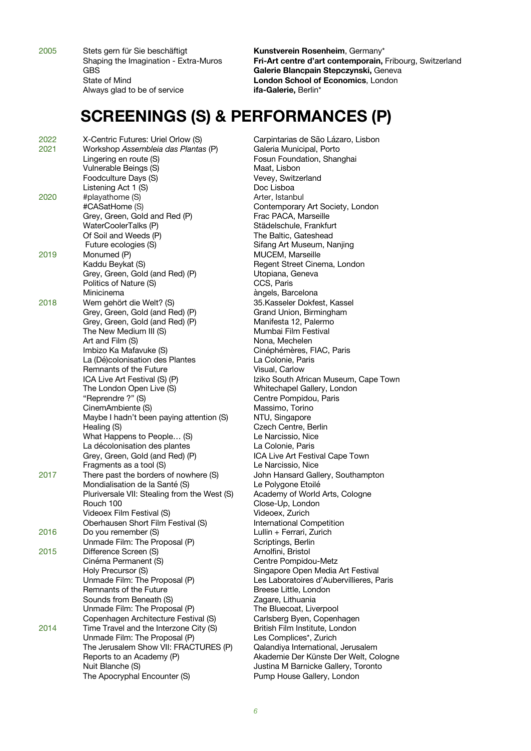2005 Stets gern für Sie beschäftigt **Kunstverein Rosenheim**, Germany\* Always glad to be of service **ifa-Galerie,** Berlin\*

Shaping the Imagination - Extra-Muros **Fri-Art centre d'art contemporain,** Fribourg, Switzerland GBS **Galerie Blancpain Stepczynski,** Geneva State of Mind **London School of Economics**, London

#### **SCREENINGS (S) & PERFORMANCES (P)**

| 2022 | X-Centric Futures: Uriel Orlow (S)           |
|------|----------------------------------------------|
| 2021 | Workshop Assembleia das Plantas (P)          |
|      | Lingering en route (S)                       |
|      | Vulnerable Beings (S)                        |
|      | Foodculture Days (S)                         |
|      | Listening Act 1 (S)                          |
| 2020 | #playathome (S)                              |
|      | #CASatHome (S)                               |
|      |                                              |
|      | Grey, Green, Gold and Red (P)                |
|      | WaterCoolerTalks (P)                         |
|      | Of Soil and Weeds (P)                        |
|      | Future ecologies (S)                         |
| 2019 | Monumed (P)                                  |
|      | Kaddu Beykat (S)                             |
|      | Grey, Green, Gold (and Red) (P)              |
|      | Politics of Nature (S)                       |
|      | Minicinema                                   |
| 2018 | Wem gehört die Welt? (S)                     |
|      | Grey, Green, Gold (and Red) (P)              |
|      | Grey, Green, Gold (and Red) (P)              |
|      | The New Medium III (S)                       |
|      | Art and Film (S)                             |
|      | Imbizo Ka Mafavuke (S)                       |
|      | La (Dé)colonisation des Plantes              |
|      | Remnants of the Future                       |
|      | ICA Live Art Festival (S) (P)                |
|      | The London Open Live (S)                     |
|      | "Reprendre ?" (S)                            |
|      |                                              |
|      | CinemAmbiente (S)                            |
|      | Maybe I hadn't been paying attention (S)     |
|      | Healing (S)                                  |
|      | What Happens to People (S)                   |
|      | La décolonisation des plantes                |
|      | Grey, Green, Gold (and Red) (P)              |
|      | Fragments as a tool (S)                      |
| 2017 | There past the borders of nowhere (S)        |
|      | Mondialisation de la Santé (S)               |
|      | Pluriversale VII: Stealing from the West (S) |
|      | Rouch 100                                    |
|      | Videoex Film Festival (S)                    |
|      | Oberhausen Short Film Festival (S)           |
| 2016 | Do you remember (S)                          |
|      | Unmade Film: The Proposal (P)                |
| 2015 | Difference Screen (S)                        |
|      | Cinéma Permanent (S)                         |
|      | Holy Precursor (S)                           |
|      | Unmade Film: The Proposal (P)                |
|      | Remnants of the Future                       |
|      | Sounds from Beneath (S)                      |
|      | Unmade Film: The Proposal (P)                |
|      | Copenhagen Architecture Festival (S)         |
| 2014 | Time Travel and the Interzone City (S)       |
|      | Unmade Film: The Proposal (P)                |
|      | The Jerusalem Show VII: FRACTURES (P)        |
|      | Reports to an Academy (P)                    |
|      | Nuit Blanche (S)                             |
|      | The Apocryphal Encounter (S)                 |
|      |                                              |

Carpintarias de São Lázaro, Lisbon 2021 Workshop *Assembleia das Plantas* (P) Galeria Municipal, Porto Fosun Foundation, Shanghai Maat, Lisbon Vevey, Switzerland Doc Lisboa Arter, Istanbul Contemporary Art Society, London Frac PACA, Marseille Städelschule, Frankfurt The Baltic, Gateshead Sifang Art Museum, Nanjing MUCEM, Marseille Regent Street Cinema, London Utopiana, Geneva CCS, Paris àngels, Barcelona 35.Kasseler Dokfest, Kassel Grand Union, Birmingham Manifesta 12, Palermo Mumbai Film Festival Nona, Mechelen Cinéphémères, FIAC, Paris La Colonie, Paris Visual, Carlow Iziko South African Museum, Cape Town Whitechapel Gallery, London Centre Pompidou, Paris Massimo, Torino NTU, Singapore Czech Centre, Berlin Le Narcissio. Nice La Colonie, Paris ICA Live Art Festival Cape Town Le Narcissio, Nice John Hansard Gallery, Southampton Le Polygone Etoilé Academy of World Arts, Cologne Close-Up, London Videoex, Zurich **International Competition** Lullin + Ferrari, Zurich Scriptings, Berlin Arnolfini, Bristol Centre Pompidou-Metz Singapore Open Media Art Festival Les Laboratoires d'Aubervillieres, Paris Breese Little, London Zagare, Lithuania The Bluecoat, Liverpool Carlsberg Byen, Copenhagen British Film Institute, London Les Complices\*, Zurich Qalandiya International, Jerusalem Akademie Der Künste Der Welt, Cologne Justina M Barnicke Gallery, Toronto Pump House Gallery, London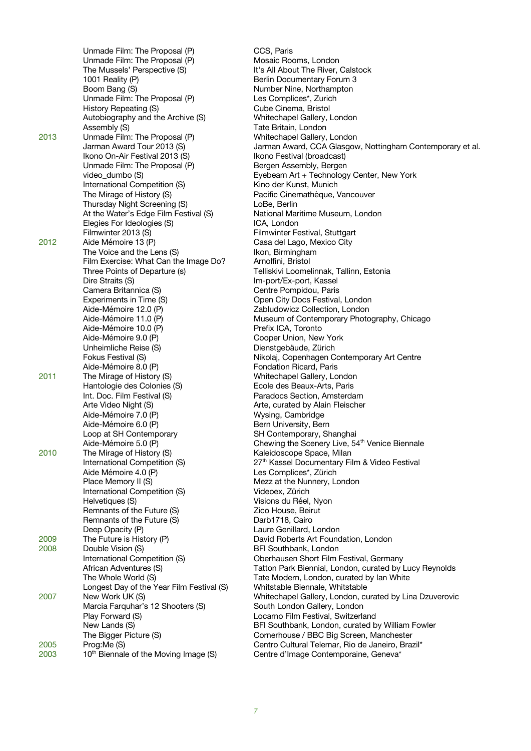Unmade Film: The Proposal (P) CCS, Paris Unmade Film: The Proposal (P) Mosaic Rooms, London The Mussels' Perspective (S) It's All About The River, Calstock 1001 Reality (P) **Berlin Documentary Forum 3** Boom Bang (S) Number Nine, Northampton Unmade Film: The Proposal (P) Les Complices\*, Zurich<br>
History Repeating (S) Cube Cinema, Bristol History Repeating (S) Autobiography and the Archive (S) Whitechapel Gallery, London Assembly (S) Tate Britain, London 2013 Unmade Film: The Proposal (P) Whitechapel Gallery, London<br>Jarman Award Tour 2013 (S) Jarman Award, CCA Glasgov Ikono On-Air Festival 2013 (S) Ikono Festival (broadcast)<br>Unmade Film: The Proposal (P) Ison Bergen Assembly, Bergen Unmade Film: The Proposal (P) video dumbo (S) International Competition (S) Kino der Kunst, Munich The Mirage of History (S) <br>Thursday Night Screening (S) Thursday Pacific Cinemathèque, Vancouver Thursday Night Screening (S) At the Water's Edge Film Festival (S) National Maritime Museum, London Elegies For Ideologies (S) ICA, London Filmwinter 2013 (S) Filmwinter Festival, Stuttgart 2012 Aide Mémoire 13 (P) Casa del Lago, Mexico City The Voice and the Lens (S) [In The Voice and the Lens (S) [In Integral and Integral and Integral and Film Exercise: What Can the Image Do? [In Arnolfini, Bristol] Film Exercise: What Can the Image Do? Three Points of Departure (s) Telliskivi Loomelinnak, Tallinn, Estonia Dire Straits (S) **Im-port/Ex-port, Kassel** Camera Britannica (S) Centre Pompidou, Paris<br>
Experiments in Time (S) Copen City Docs Festival Aide-Mémoire 12.0 (P) Zabludowicz Collection, London Aide-Mémoire 10.0 (P) entrants entre Prefix ICA, Toronto Aide-Mémoire 9.0 (P) Cooper Union, New York Unheimliche Reise (S) Dienstgebäude, Zürich Aide-Mémoire 8.0 (P) Fondation Ricard, Paris<br>
The Mirage of History (S) Fondation Ricard, Paris<br>
Whitechapel Gallery, Louis 2011 The Mirage of History (S) Whitechapel Gallery, London Hantologie des Colonies (S) **Ecole des Beaux-Arts, Paris** Int. Doc. Film Festival (S) The Paradocs Section, Amsterdam<br>
Arte Video Night (S) Paradocs Section, Amsterdam<br>
Arte, curated by Alain Fleischer Aide-Mémoire 7.0 (P) Wysing, Cambridge Aide-Mémoire 6.0 (P) Bern University, Bern Loop at SH Contemporary<br>
Loop at SH Contemporary BH Contemporary, SH Loop at SH Contemporary SH Contemporary, Shanghai<br>Aide-Mémoire 5.0 (P) Shanghai Chewing the Scenery Live, 54 2010 The Mirage of History (S) The Mirage of History (S) and Material Scale Kaleidoscope Space, Milan Aide Mémoire 4.0 (P) Les Complices\*, Zürich Place Memory II (S) Mezz at the Nunnery, London International Competition (S) Videoex, Zürich Helvetiques (S) Visions du Réel, Nyon Remnants of the Future (S) The Matter of American Cico House, Beirut Remnants of the Future (S) Darb1718, Cairo Deep Opacity (P) and the Control of Laure Genillard, London 2009 The Future is History (P) Contract the David Roberts Art Foundation, London<br>2008 Double Vision (S) Department Contract Refl Southbank, London 2008 Double Vision (S) BFI Southbank, London Longest Day of the Year Film Festival (S) Whitstable Biennale, Whitstable Marcia Farquhar's 12 Shooters (S) Play Forward (S) Locarno Film Festival, Switzerland

Jarman Award, CCA Glasgow, Nottingham Contemporary et al. Eyebeam Art + Technology Center, New York Open City Docs Festival, London Museum of Contemporary Photography, Chicago Fokus Festival (S) The Nikolaj, Copenhagen Contemporary Art Centre Arte, curated by Alain Fleischer Chewing the Scenery Live, 54<sup>th</sup> Venice Biennale International Competition (S) 27<sup>th</sup> Kassel Documentary Film & Video Festival International Competition (S) Oberhausen Short Film Festival, Germany African Adventures (S) Tatton Park Biennial, London, curated by Lucy Reynolds The Whole World (S) Tate Modern, London, curated by lan White 2007 New Work UK (S) Whitechapel Gallery, London, curated by Lina Dzuverovic New Lands (S) **BFI Southbank, London, curated by William Fowler** The Bigger Picture (S) Cornerhouse / BBC Big Screen, Manchester<br>Prog:Me (S) Centro Cultural Telemar, Rio de Janeiro, Braz 2005 Prog:Me (S) Centro Cultural Telemar, Rio de Janeiro, Brazil\*<br>2003 10<sup>th</sup> Biennale of the Moving Image (S) Centre d'Image Contemporaine, Geneva\* 2003 10<sup>th</sup> Biennale of the Moving Image (S) Centre d'Image Contemporaine, Geneva<sup>\*</sup>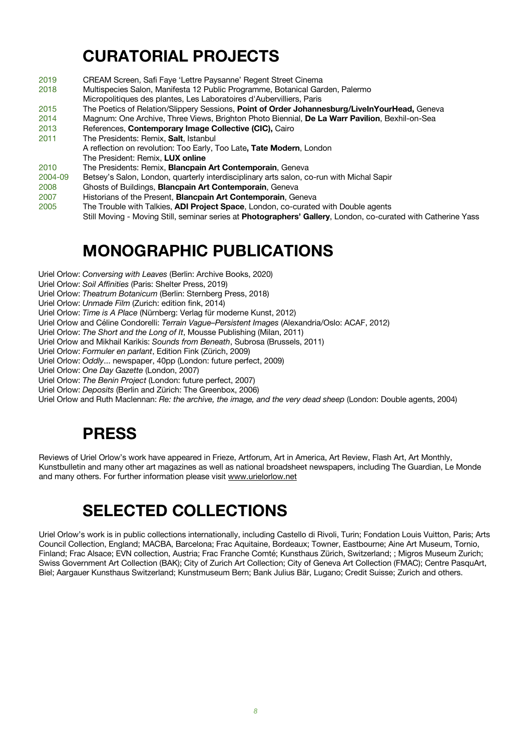# **CURATORIAL PROJECTS**

- 2019 CREAM Screen, Safi Faye 'Lettre Paysanne' Regent Street Cinema
- 2018 Multispecies Salon, Manifesta 12 Public Programme, Botanical Garden, Palermo
- Micropolitiques des plantes, Les Laboratoires d'Aubervilliers, Paris
- 2015 The Poetics of Relation/Slippery Sessions, **Point of Order Johannesburg/LiveInYourHead,** Geneva
- 2014 Magnum: One Archive, Three Views, Brighton Photo Biennial, **De La Warr Pavilion**, Bexhil-on-Sea
- 2013 References, **Contemporary Image Collective (CIC),** Cairo
- 2011 The Presidents: Remix, **Salt**, Istanbul
	- A reflection on revolution: Too Early, Too Late**, Tate Modern**, London
- The President: Remix, **LUX online**
- 2010 The Presidents: Remix, **Blancpain Art Contemporain**, Geneva
- Betsey's Salon, London, quarterly interdisciplinary arts salon, co-run with Michal Sapir
- 2008 Ghosts of Buildings, **Blancpain Art Contemporain**, Geneva
- 2007 Historians of the Present, **Blancpain Art Contemporain**, Geneva
- 2005 The Trouble with Talkies, **ADI Project Space**, London, co-curated with Double agents

Still Moving - Moving Still, seminar series at **Photographers' Gallery**, London, co-curated with Catherine Yass

### **MONOGRAPHIC PUBLICATIONS**

- Uriel Orlow: *Conversing with Leaves* (Berlin: Archive Books, 2020)
- Uriel Orlow: *Soil Affinities* (Paris: Shelter Press, 2019)
- Uriel Orlow: *Theatrum Botanicum* (Berlin: Sternberg Press, 2018)
- Uriel Orlow: *Unmade Film* (Zurich: edition fink, 2014)
- Uriel Orlow: *Time is A Place* (Nürnberg: Verlag für moderne Kunst, 2012)
- Uriel Orlow and Céline Condorelli: *Terrain Vague–Persistent Images* (Alexandria/Oslo: ACAF, 2012)
- Uriel Orlow: *The Short and the Long of It*, Mousse Publishing (Milan, 2011)
- Uriel Orlow and Mikhail Karikis: *Sounds from Beneath*, Subrosa (Brussels, 2011)
- Uriel Orlow: *Formuler en parlant*, Edition Fink (Zürich, 2009)
- Uriel Orlow: *Oddly*... newspaper, 40pp (London: future perfect, 2009)
- Uriel Orlow: *One Day Gazette* (London, 2007)
- Uriel Orlow: *The Benin Project* (London: future perfect, 2007)
- Uriel Orlow: *Deposits* (Berlin and Zürich: The Greenbox, 2006)
- Uriel Orlow and Ruth Maclennan: *Re: the archive, the image, and the very dead sheep* (London: Double agents, 2004)

### **PRESS**

Reviews of Uriel Orlow's work have appeared in Frieze, Artforum, Art in America, Art Review, Flash Art, Art Monthly, Kunstbulletin and many other art magazines as well as national broadsheet newspapers, including The Guardian, Le Monde and many others. For further information please visit www.urielorlow.net

# **SELECTED COLLECTIONS**

Uriel Orlow's work is in public collections internationally, including Castello di Rivoli, Turin; Fondation Louis Vuitton, Paris; Arts Council Collection, England; MACBA, Barcelona; Frac Aquitaine, Bordeaux; Towner, Eastbourne; Aine Art Museum, Tornio, Finland; Frac Alsace; EVN collection, Austria; Frac Franche Comté; Kunsthaus Zürich, Switzerland; ; Migros Museum Zurich; Swiss Government Art Collection (BAK); City of Zurich Art Collection; City of Geneva Art Collection (FMAC); Centre PasquArt, Biel; Aargauer Kunsthaus Switzerland; Kunstmuseum Bern; Bank Julius Bär, Lugano; Credit Suisse; Zurich and others.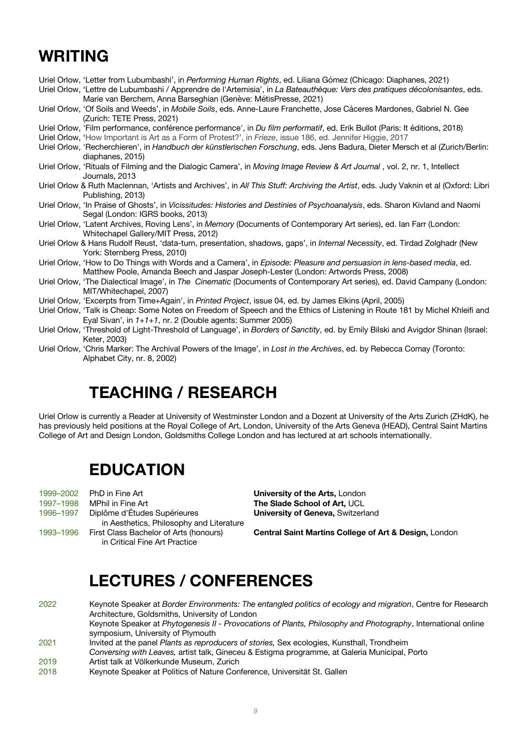# **WRITING**

Uriel Orlow, 'Letter from Lubumbashi', in *Performing Human Rights*, ed. Liliana Gómez (Chicago: Diaphanes, 2021)

Uriel Orlow, 'Lettre de Lubumbashi / Apprendre de l'Artemisia', in *La Bateauthèque: Vers des pratiques décolonisantes*, eds. Marie van Berchem, Anna Barseghian (Genève: MétisPresse, 2021)

Uriel Orlow, 'Of Soils and Weeds', in *Mobile Soils*, eds. Anne-Laure Franchette, Jose Cáceres Mardones, Gabriel N. Gee (Zurich: TETE Press, 2021)

Uriel Orlow, 'Film performance, conférence performance', in *Du film performatif*, ed. Erik Bullot (Paris: It éditions, 2018)

Uriel Orlow, 'How Important is Art as a Form of Protest?', in *Frieze*, issue 186, ed. Jennifer Higgie, 2017

- Uriel Orlow, 'Recherchieren', in *Handbuch der künstlerischen Forschung*, eds. Jens Badura, Dieter Mersch et al (Zurich/Berlin: diaphanes, 2015)
- Uriel Orlow, 'Rituals of Filming and the Dialogic Camera', in *Moving Image Review & Art Journal* , vol. 2, nr. 1, Intellect Journals, 2013
- Uriel Orlow & Ruth Maclennan, 'Artists and Archives', in *All This Stuff: Archiving the Artist*, eds. Judy Vaknin et al (Oxford: Libri Publishing, 2013)
- Uriel Orlow, 'In Praise of Ghosts', in *Vicissitudes: Histories and Destinies of Psychoanalysis*, eds. Sharon Kivland and Naomi Segal (London: IGRS books, 2013)
- Uriel Orlow, 'Latent Archives, Roving Lens', in *Memory* (Documents of Contemporary Art series), ed. Ian Farr (London: Whitechapel Gallery/MIT Press, 2012)
- Uriel Orlow & Hans Rudolf Reust, 'data-turn, presentation, shadows, gaps', in *Internal Necessity*, ed. Tirdad Zolghadr (New York: Sternberg Press, 2010)
- Uriel Orlow, 'How to Do Things with Words and a Camera', in *Episode: Pleasure and persuasion in lens-based media*, ed. Matthew Poole, Amanda Beech and Jaspar Joseph-Lester (London: Artwords Press, 2008)
- Uriel Orlow, 'The Dialectical Image', in *The Cinematic* (Documents of Contemporary Art series), ed. David Campany (London: MIT/Whitechapel, 2007)
- Uriel Orlow, 'Excerpts from Time+Again', in *Printed Project*, issue 04, ed. by James Elkins (April, 2005)
- Uriel Orlow, 'Talk is Cheap: Some Notes on Freedom of Speech and the Ethics of Listening in Route 181 by Michel Khleifi and Eyal Sivan', in *1+1+1*, nr. 2 (Double agents: Summer 2005)
- Uriel Orlow, 'Threshold of Light-Threshold of Language', in *Borders of Sanctity*, ed. by Emily Bilski and Avigdor Shinan (Israel: Keter, 2003)
- Uriel Orlow, 'Chris Marker: The Archival Powers of the Image', in *Lost in the Archives*, ed. by Rebecca Comay (Toronto: Alphabet City, nr. 8, 2002)

# **TEACHING / RESEARCH**

Uriel Orlow is currently a Reader at University of Westminster London and a Dozent at University of the Arts Zurich (ZHdK), he has previously held positions at the Royal College of Art, London, University of the Arts Geneva (HEAD), Central Saint Martins College of Art and Design London, Goldsmiths College London and has lectured at art schools internationally.

#### **EDUCATION**

|           | 1999–2002 PhD in Fine Art                |
|-----------|------------------------------------------|
| 1997-1998 | MPhil in Fine Art                        |
| 1996-1997 | Diplôme d'Études Supérieures             |
|           | in Aesthetics, Philosophy and Literature |
| 1993-1996 | First Class Bachelor of Arts (honours)   |
|           | in Critical Fine Art Practice            |

**University of the Arts, London** The Slade School of Art, UCL **University of Geneva, Switzerland** 

**Central Saint Martins College of Art & Design, London** 

# **LECTURES / CONFERENCES**

- 2022 Keynote Speaker at *Border Environments: The entangled politics of ecology and migration*, Centre for Research Architecture, Goldsmiths, University of London Keynote Speaker at *Phytogenesis II - Provocations of Plants, Philosophy and Photography*, International online symposium, University of Plymouth 2021 Invited at the panel *Plants as reproducers of stories,* Sex ecologies, Kunsthall, Trondheim *Conversing with Leaves,* artist talk, Gineceu & Estigma programme, at Galeria Municipal, Porto 2019 Artist talk at Völkerkunde Museum, Zurich
- 2018 Keynote Speaker at Politics of Nature Conference, Universität St. Gallen